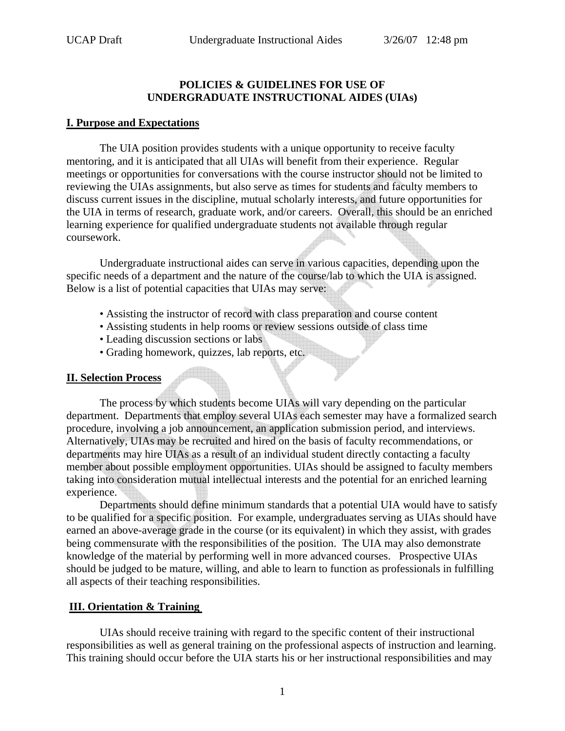## **POLICIES & GUIDELINES FOR USE OF UNDERGRADUATE INSTRUCTIONAL AIDES (UIAs)**

#### **I. Purpose and Expectations**

The UIA position provides students with a unique opportunity to receive faculty mentoring, and it is anticipated that all UIAs will benefit from their experience. Regular meetings or opportunities for conversations with the course instructor should not be limited to reviewing the UIAs assignments, but also serve as times for students and faculty members to discuss current issues in the discipline, mutual scholarly interests, and future opportunities for the UIA in terms of research, graduate work, and/or careers. Overall, this should be an enriched learning experience for qualified undergraduate students not available through regular coursework.

 Undergraduate instructional aides can serve in various capacities, depending upon the specific needs of a department and the nature of the course/lab to which the UIA is assigned. Below is a list of potential capacities that UIAs may serve:

- Assisting the instructor of record with class preparation and course content
- Assisting students in help rooms or review sessions outside of class time
- Leading discussion sections or labs
- Grading homework, quizzes, lab reports, etc.

## **II. Selection Process**

The process by which students become UIAs will vary depending on the particular department. Departments that employ several UIAs each semester may have a formalized search procedure, involving a job announcement, an application submission period, and interviews. Alternatively, UIAs may be recruited and hired on the basis of faculty recommendations, or departments may hire UIAs as a result of an individual student directly contacting a faculty member about possible employment opportunities. UIAs should be assigned to faculty members taking into consideration mutual intellectual interests and the potential for an enriched learning experience.

Departments should define minimum standards that a potential UIA would have to satisfy to be qualified for a specific position. For example, undergraduates serving as UIAs should have earned an above-average grade in the course (or its equivalent) in which they assist, with grades being commensurate with the responsibilities of the position. The UIA may also demonstrate knowledge of the material by performing well in more advanced courses. Prospective UIAs should be judged to be mature, willing, and able to learn to function as professionals in fulfilling all aspects of their teaching responsibilities.

# **III. Orientation & Training**

UIAs should receive training with regard to the specific content of their instructional responsibilities as well as general training on the professional aspects of instruction and learning. This training should occur before the UIA starts his or her instructional responsibilities and may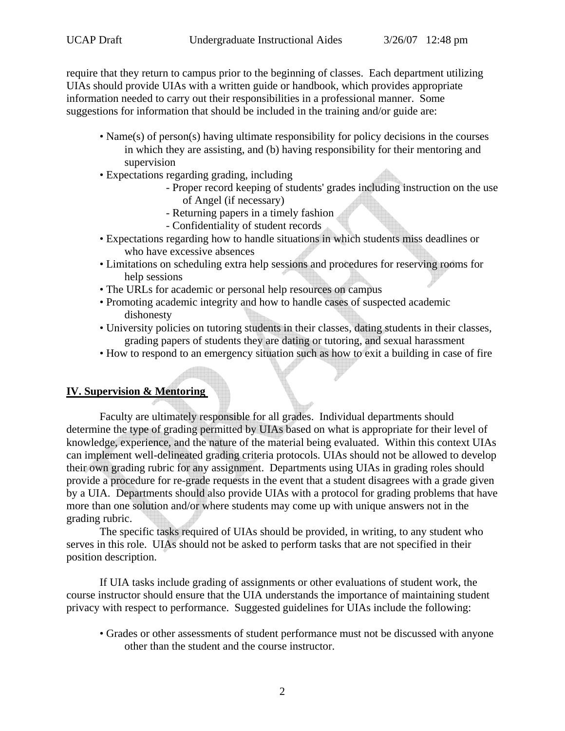require that they return to campus prior to the beginning of classes. Each department utilizing UIAs should provide UIAs with a written guide or handbook, which provides appropriate information needed to carry out their responsibilities in a professional manner. Some suggestions for information that should be included in the training and/or guide are:

- Name(s) of person(s) having ultimate responsibility for policy decisions in the courses in which they are assisting, and (b) having responsibility for their mentoring and supervision
- Expectations regarding grading, including
	- Proper record keeping of students' grades including instruction on the use of Angel (if necessary)
	- Returning papers in a timely fashion
	- Confidentiality of student records
- Expectations regarding how to handle situations in which students miss deadlines or who have excessive absences
- Limitations on scheduling extra help sessions and procedures for reserving rooms for help sessions
- The URLs for academic or personal help resources on campus
- Promoting academic integrity and how to handle cases of suspected academic dishonesty
- University policies on tutoring students in their classes, dating students in their classes, grading papers of students they are dating or tutoring, and sexual harassment
- How to respond to an emergency situation such as how to exit a building in case of fire

# **IV. Supervision & Mentoring**

Faculty are ultimately responsible for all grades. Individual departments should determine the type of grading permitted by UIAs based on what is appropriate for their level of knowledge, experience, and the nature of the material being evaluated. Within this context UIAs can implement well-delineated grading criteria protocols. UIAs should not be allowed to develop their own grading rubric for any assignment. Departments using UIAs in grading roles should provide a procedure for re-grade requests in the event that a student disagrees with a grade given by a UIA. Departments should also provide UIAs with a protocol for grading problems that have more than one solution and/or where students may come up with unique answers not in the grading rubric.

 The specific tasks required of UIAs should be provided, in writing, to any student who serves in this role. UIAs should not be asked to perform tasks that are not specified in their position description.

If UIA tasks include grading of assignments or other evaluations of student work, the course instructor should ensure that the UIA understands the importance of maintaining student privacy with respect to performance. Suggested guidelines for UIAs include the following:

• Grades or other assessments of student performance must not be discussed with anyone other than the student and the course instructor.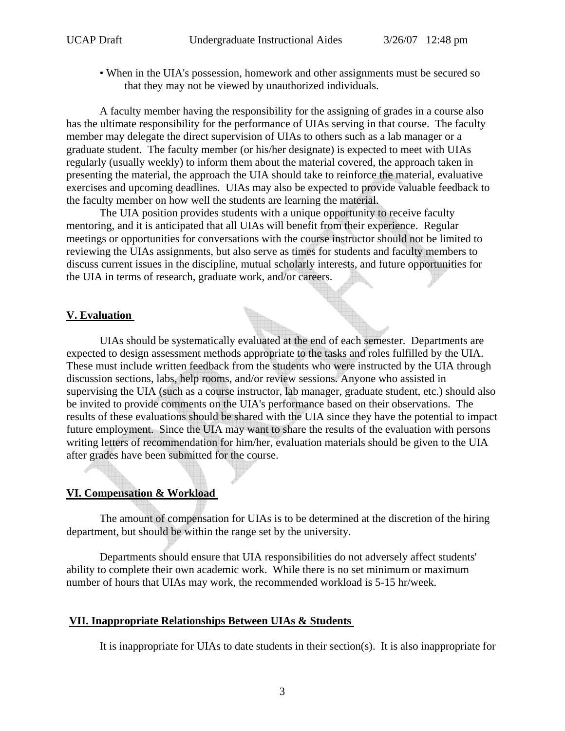• When in the UIA's possession, homework and other assignments must be secured so that they may not be viewed by unauthorized individuals.

A faculty member having the responsibility for the assigning of grades in a course also has the ultimate responsibility for the performance of UIAs serving in that course. The faculty member may delegate the direct supervision of UIAs to others such as a lab manager or a graduate student. The faculty member (or his/her designate) is expected to meet with UIAs regularly (usually weekly) to inform them about the material covered, the approach taken in presenting the material, the approach the UIA should take to reinforce the material, evaluative exercises and upcoming deadlines. UIAs may also be expected to provide valuable feedback to the faculty member on how well the students are learning the material.

The UIA position provides students with a unique opportunity to receive faculty mentoring, and it is anticipated that all UIAs will benefit from their experience. Regular meetings or opportunities for conversations with the course instructor should not be limited to reviewing the UIAs assignments, but also serve as times for students and faculty members to discuss current issues in the discipline, mutual scholarly interests, and future opportunities for the UIA in terms of research, graduate work, and/or careers.

## **V. Evaluation**

UIAs should be systematically evaluated at the end of each semester. Departments are expected to design assessment methods appropriate to the tasks and roles fulfilled by the UIA. These must include written feedback from the students who were instructed by the UIA through discussion sections, labs, help rooms, and/or review sessions. Anyone who assisted in supervising the UIA (such as a course instructor, lab manager, graduate student, etc.) should also be invited to provide comments on the UIA's performance based on their observations. The results of these evaluations should be shared with the UIA since they have the potential to impact future employment. Since the UIA may want to share the results of the evaluation with persons writing letters of recommendation for him/her, evaluation materials should be given to the UIA after grades have been submitted for the course.

## **VI. Compensation & Workload**

The amount of compensation for UIAs is to be determined at the discretion of the hiring department, but should be within the range set by the university.

Departments should ensure that UIA responsibilities do not adversely affect students' ability to complete their own academic work. While there is no set minimum or maximum number of hours that UIAs may work, the recommended workload is 5-15 hr/week.

#### **VII. Inappropriate Relationships Between UIAs & Students**

It is inappropriate for UIAs to date students in their section(s). It is also inappropriate for